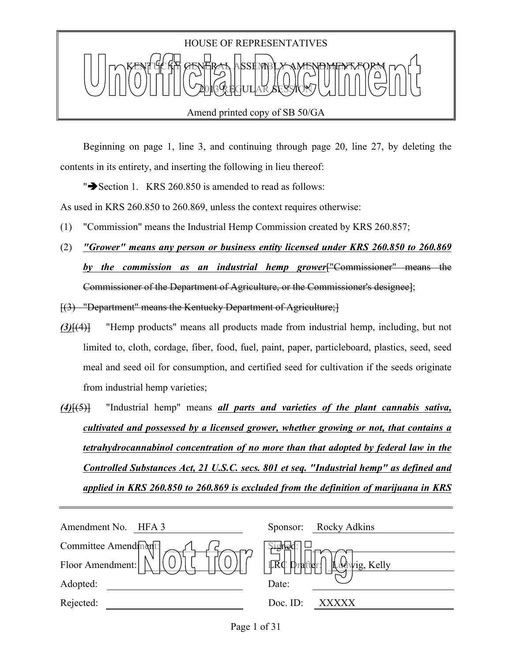

Beginning on page 1, line 3, and continuing through page 20, line 27, by deleting the contents in its entirety, and inserting the following in lieu thereof:

" $\blacktriangleright$  Section 1. KRS 260.850 is amended to read as follows:

As used in KRS 260.850 to 260.869, unless the context requires otherwise:

- (1) "Commission" means the Industrial Hemp Commission created by KRS 260.857;
- (2) *"Grower" means any person or business entity licensed under KRS 260.850 to 260.869 by the commission as an industrial hemp grower*["Commissioner" means the Commissioner of the Department of Agriculture, or the Commissioner's designee];

[(3) "Department" means the Kentucky Department of Agriculture;]

- *(3)*[(4)] "Hemp products" means all products made from industrial hemp, including, but not limited to, cloth, cordage, fiber, food, fuel, paint, paper, particleboard, plastics, seed, seed meal and seed oil for consumption, and certified seed for cultivation if the seeds originate from industrial hemp varieties;
- *(4)*[(5)] "Industrial hemp" means *all parts and varieties of the plant cannabis sativa, cultivated and possessed by a licensed grower, whether growing or not, that contains a tetrahydrocannabinol concentration of no more than that adopted by federal law in the Controlled Substances Act, 21 U.S.C. secs. 801 et seq. "Industrial hemp" as defined and applied in KRS 260.850 to 260.869 is excluded from the definition of marijuana in KRS*

| Amendment No.<br>HFA 3 | Rocky Adkins<br>Sponsor:                                                  |
|------------------------|---------------------------------------------------------------------------|
| Committee Amendment:   | signeu.                                                                   |
| Floor Amendment:       | $ \overrightarrow{\text{IRd}} $ prafter $\int$ $\int$ $\Omega$ wig, Kelly |
| Adopted:               | Date:                                                                     |
| Rejected:              | Doc. $ID$ :<br>XXXXX                                                      |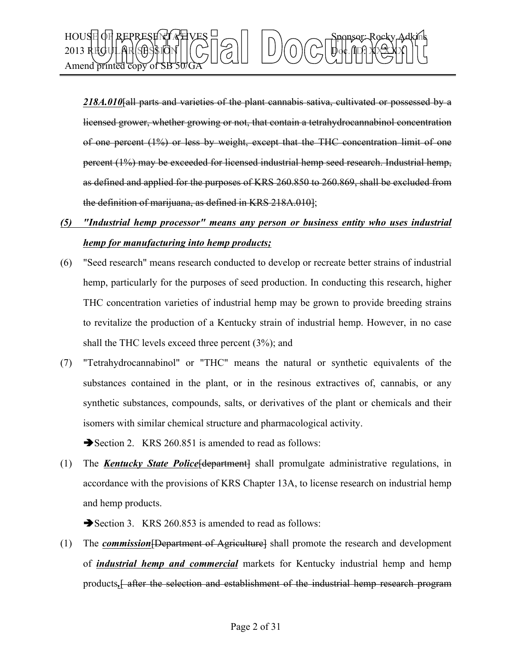

*218A.010*[all parts and varieties of the plant cannabis sativa, cultivated or possessed by a licensed grower, whether growing or not, that contain a tetrahydrocannabinol concentration of one percent (1%) or less by weight, except that the THC concentration limit of one percent (1%) may be exceeded for licensed industrial hemp seed research. Industrial hemp, as defined and applied for the purposes of KRS 260.850 to 260.869, shall be excluded from the definition of marijuana, as defined in KRS 218A.010];

# *(5) "Industrial hemp processor" means any person or business entity who uses industrial hemp for manufacturing into hemp products;*

- (6) "Seed research" means research conducted to develop or recreate better strains of industrial hemp, particularly for the purposes of seed production. In conducting this research, higher THC concentration varieties of industrial hemp may be grown to provide breeding strains to revitalize the production of a Kentucky strain of industrial hemp. However, in no case shall the THC levels exceed three percent (3%); and
- (7) "Tetrahydrocannabinol" or "THC" means the natural or synthetic equivalents of the substances contained in the plant, or in the resinous extractives of, cannabis, or any synthetic substances, compounds, salts, or derivatives of the plant or chemicals and their isomers with similar chemical structure and pharmacological activity.

Section 2. KRS 260.851 is amended to read as follows:

(1) The *Kentucky State Police*[department] shall promulgate administrative regulations, in accordance with the provisions of KRS Chapter 13A, to license research on industrial hemp and hemp products.

Section 3. KRS 260.853 is amended to read as follows:

(1) The *commission*[Department of Agriculture] shall promote the research and development of *industrial hemp and commercial* markets for Kentucky industrial hemp and hemp products*,*[ after the selection and establishment of the industrial hemp research program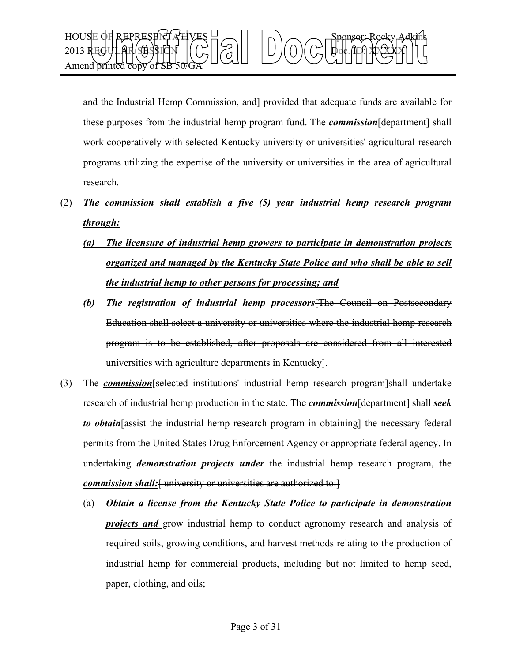

and the Industrial Hemp Commission, and provided that adequate funds are available for these purposes from the industrial hemp program fund. The *commission* [department] shall work cooperatively with selected Kentucky university or universities' agricultural research programs utilizing the expertise of the university or universities in the area of agricultural research.

- (2) *The commission shall establish a five (5) year industrial hemp research program through:*
	- *(a) The licensure of industrial hemp growers to participate in demonstration projects organized and managed by the Kentucky State Police and who shall be able to sell the industrial hemp to other persons for processing; and*
	- *(b) The registration of industrial hemp processors*[The Council on Postsecondary Education shall select a university or universities where the industrial hemp research program is to be established, after proposals are considered from all interested universities with agriculture departments in Kentucky].
- (3) The *commission*[selected institutions' industrial hemp research program]shall undertake research of industrial hemp production in the state. The *commission*[department] shall *seek to obtain* [assist the industrial hemp research program in obtaining] the necessary federal permits from the United States Drug Enforcement Agency or appropriate federal agency. In undertaking *demonstration projects under* the industrial hemp research program, the *commission shall:* [ university or universities are authorized to: ]
	- (a) *Obtain a license from the Kentucky State Police to participate in demonstration projects and* grow industrial hemp to conduct agronomy research and analysis of required soils, growing conditions, and harvest methods relating to the production of industrial hemp for commercial products, including but not limited to hemp seed, paper, clothing, and oils;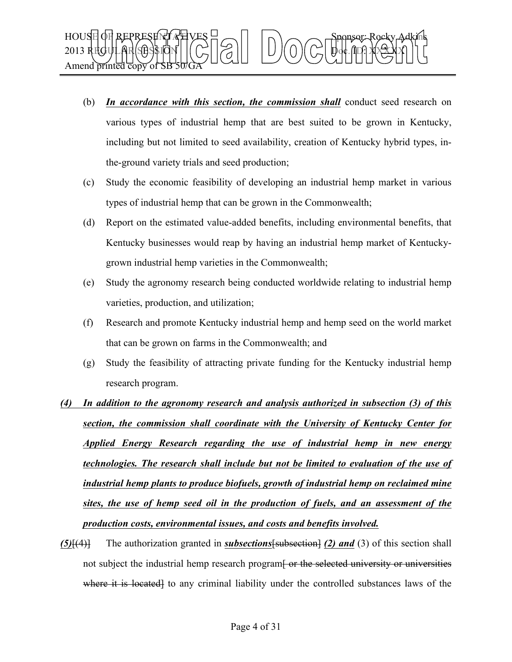- (b) *In accordance with this section, the commission shall* conduct seed research on various types of industrial hemp that are best suited to be grown in Kentucky, including but not limited to seed availability, creation of Kentucky hybrid types, inthe-ground variety trials and seed production;
- (c) Study the economic feasibility of developing an industrial hemp market in various types of industrial hemp that can be grown in the Commonwealth;
- (d) Report on the estimated value-added benefits, including environmental benefits, that Kentucky businesses would reap by having an industrial hemp market of Kentuckygrown industrial hemp varieties in the Commonwealth;
- (e) Study the agronomy research being conducted worldwide relating to industrial hemp varieties, production, and utilization;
- (f) Research and promote Kentucky industrial hemp and hemp seed on the world market that can be grown on farms in the Commonwealth; and
- (g) Study the feasibility of attracting private funding for the Kentucky industrial hemp research program.
- *(4) In addition to the agronomy research and analysis authorized in subsection (3) of this section, the commission shall coordinate with the University of Kentucky Center for Applied Energy Research regarding the use of industrial hemp in new energy technologies. The research shall include but not be limited to evaluation of the use of industrial hemp plants to produce biofuels, growth of industrial hemp on reclaimed mine sites, the use of hemp seed oil in the production of fuels, and an assessment of the production costs, environmental issues, and costs and benefits involved.*
- *(5)*[(4)] The authorization granted in *subsections*[subsection] *(2) and* (3) of this section shall not subject the industrial hemp research program<del>. Or the selected university or universities</del> where it is located to any criminal liability under the controlled substances laws of the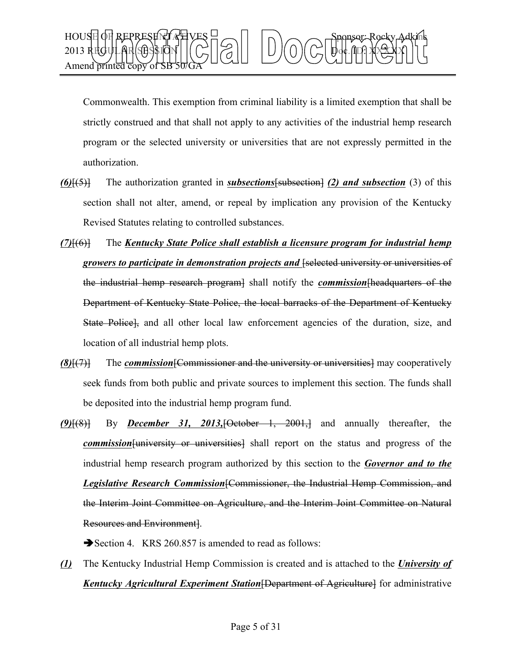

Commonwealth. This exemption from criminal liability is a limited exemption that shall be strictly construed and that shall not apply to any activities of the industrial hemp research program or the selected university or universities that are not expressly permitted in the authorization.

- *(6)*[(5)] The authorization granted in *subsections*[subsection] *(2) and subsection* (3) of this section shall not alter, amend, or repeal by implication any provision of the Kentucky Revised Statutes relating to controlled substances.
- *(7)*[(6)] The *Kentucky State Police shall establish a licensure program for industrial hemp growers to participate in demonstration projects and* [selected university or universities of the industrial hemp research program] shall notify the *commission*[headquarters of the Department of Kentucky State Police, the local barracks of the Department of Kentucky State Police], and all other local law enforcement agencies of the duration, size, and location of all industrial hemp plots.
- *(8)*[(7)] The *commission*[Commissioner and the university or universities] may cooperatively seek funds from both public and private sources to implement this section. The funds shall be deposited into the industrial hemp program fund.
- *(9)*[(8)] By *December 31, 2013,*[October 1, 2001,] and annually thereafter, the *commission*[university or universities] shall report on the status and progress of the industrial hemp research program authorized by this section to the *Governor and to the Legislative Research Commission*[Commissioner, the Industrial Hemp Commission, and the Interim Joint Committee on Agriculture, and the Interim Joint Committee on Natural Resources and Environment].

Section 4. KRS 260.857 is amended to read as follows:

*(1)* The Kentucky Industrial Hemp Commission is created and is attached to the *University of Kentucky Agricultural Experiment Station*[Department of Agriculture] for administrative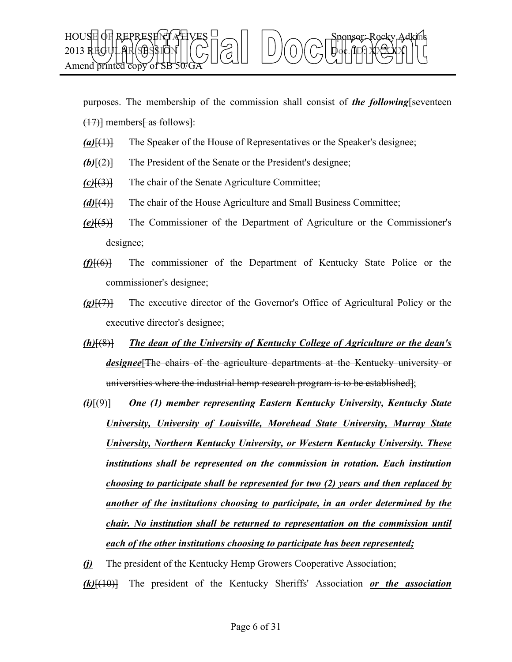

purposes. The membership of the commission shall consist of *the following*[seventeen  $(17)$ ] members as follows  $\cdot$ :

- *(a)*[(1)] The Speaker of the House of Representatives or the Speaker's designee;
- *(b)*[(2)] The President of the Senate or the President's designee;
- *(c)*[(3)] The chair of the Senate Agriculture Committee;
- *(d)*[(4)] The chair of the House Agriculture and Small Business Committee;
- *(e)*[(5)] The Commissioner of the Department of Agriculture or the Commissioner's designee;
- *(f)*[(6)] The commissioner of the Department of Kentucky State Police or the commissioner's designee;
- *(g)*[(7)] The executive director of the Governor's Office of Agricultural Policy or the executive director's designee;
- *(h)*[(8)] *The dean of the University of Kentucky College of Agriculture or the dean's designee*[The chairs of the agriculture departments at the Kentucky university or universities where the industrial hemp research program is to be established];
- *(i)*[(9)] *One (1) member representing Eastern Kentucky University, Kentucky State University, University of Louisville, Morehead State University, Murray State University, Northern Kentucky University, or Western Kentucky University. These institutions shall be represented on the commission in rotation. Each institution choosing to participate shall be represented for two (2) years and then replaced by another of the institutions choosing to participate, in an order determined by the chair. No institution shall be returned to representation on the commission until each of the other institutions choosing to participate has been represented;*
- *(j)* The president of the Kentucky Hemp Growers Cooperative Association;

*(k)*[(10)] The president of the Kentucky Sheriffs' Association *or the association*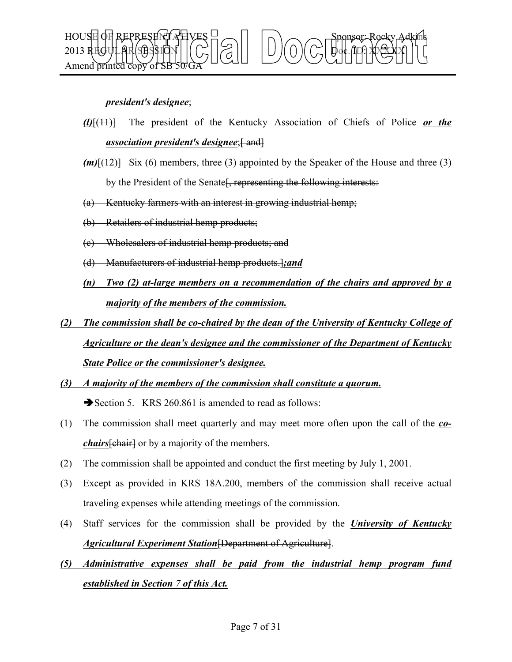

## *president's designee*;

- *(l)*[(11)] The president of the Kentucky Association of Chiefs of Police *or the association president's designee*;  $\left\{ \text{ and }\right\}$
- $(m)$ [ $(12)$ ] Six (6) members, three (3) appointed by the Speaker of the House and three (3) by the President of the Senate<del>, representing the following interests:</del>
- (a) Kentucky farmers with an interest in growing industrial hemp;
- (b) Retailers of industrial hemp products;
- (c) Wholesalers of industrial hemp products; and
- (d) Manufacturers of industrial hemp products.]*;and*
- *(n) Two (2) at-large members on a recommendation of the chairs and approved by a majority of the members of the commission.*
- *(2) The commission shall be co-chaired by the dean of the University of Kentucky College of Agriculture or the dean's designee and the commissioner of the Department of Kentucky State Police or the commissioner's designee.*
- *(3) A majority of the members of the commission shall constitute a quorum.* Section 5. KRS 260.861 is amended to read as follows:
- (1) The commission shall meet quarterly and may meet more often upon the call of the *cochairs* [chair] or by a majority of the members.
- (2) The commission shall be appointed and conduct the first meeting by July 1, 2001.
- (3) Except as provided in KRS 18A.200, members of the commission shall receive actual traveling expenses while attending meetings of the commission.
- (4) Staff services for the commission shall be provided by the *University of Kentucky Agricultural Experiment Station*[Department of Agriculture].
- *(5) Administrative expenses shall be paid from the industrial hemp program fund established in Section 7 of this Act.*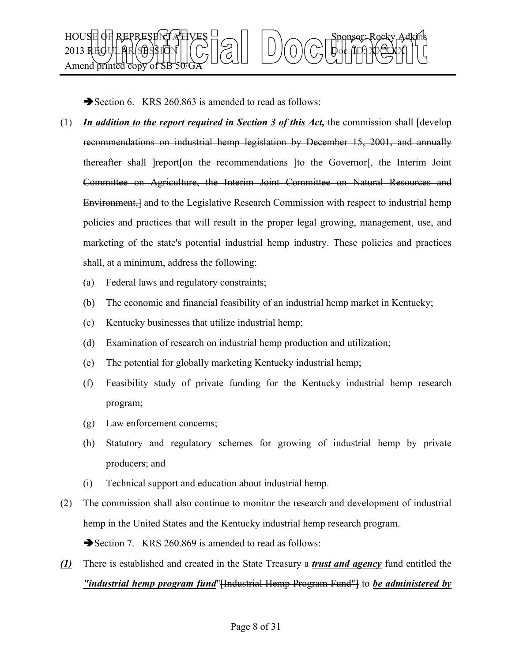

Section 6. KRS 260.863 is amended to read as follows:

- $(1)$  *In addition to the report required in Section 3 of this Act*, the commission shall  $\frac{1}{1}$ recommendations on industrial hemp legislation by December 15, 2001, and annually thereafter shall leport on the recommendations lto the Governorf, the Interim Joint Committee on Agriculture, the Interim Joint Committee on Natural Resources and Environment, and to the Legislative Research Commission with respect to industrial hemp policies and practices that will result in the proper legal growing, management, use, and marketing of the state's potential industrial hemp industry. These policies and practices shall, at a minimum, address the following:
	- (a) Federal laws and regulatory constraints;
	- (b) The economic and financial feasibility of an industrial hemp market in Kentucky;
	- (c) Kentucky businesses that utilize industrial hemp;
	- (d) Examination of research on industrial hemp production and utilization;
	- (e) The potential for globally marketing Kentucky industrial hemp;
	- (f) Feasibility study of private funding for the Kentucky industrial hemp research program;
	- (g) Law enforcement concerns;
	- (h) Statutory and regulatory schemes for growing of industrial hemp by private producers; and
	- (i) Technical support and education about industrial hemp.
- (2) The commission shall also continue to monitor the research and development of industrial hemp in the United States and the Kentucky industrial hemp research program.

Section 7. KRS 260.869 is amended to read as follows:

*(1)* There is established and created in the State Treasury a *trust and agency* fund entitled the *"industrial hemp program fund*"[Industrial Hemp Program Fund"] to *be administered by*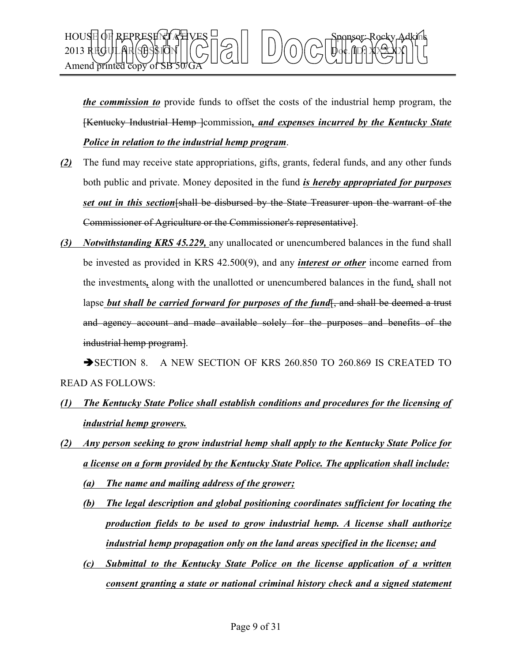

*the commission to* provide funds to offset the costs of the industrial hemp program, the [Kentucky Industrial Hemp ]commission*, and expenses incurred by the Kentucky State Police in relation to the industrial hemp program*.

- *(2)* The fund may receive state appropriations, gifts, grants, federal funds, and any other funds both public and private. Money deposited in the fund *is hereby appropriated for purposes set out in this section*[shall be disbursed by the State Treasurer upon the warrant of the Commissioner of Agriculture or the Commissioner's representative].
- *(3) Notwithstanding KRS 45.229,* any unallocated or unencumbered balances in the fund shall be invested as provided in KRS 42.500(9), and any *interest or other* income earned from the investments*,* along with the unallotted or unencumbered balances in the fund*,* shall not lapse *but shall be carried forward for purposes of the fund*<sub>, and shall be deemed a trust</sub> and agency account and made available solely for the purposes and benefits of the industrial hemp program].

SECTION 8. A NEW SECTION OF KRS 260.850 TO 260.869 IS CREATED TO READ AS FOLLOWS:

- *(1) The Kentucky State Police shall establish conditions and procedures for the licensing of industrial hemp growers.*
- *(2) Any person seeking to grow industrial hemp shall apply to the Kentucky State Police for a license on a form provided by the Kentucky State Police. The application shall include: (a) The name and mailing address of the grower;*
	- *(b) The legal description and global positioning coordinates sufficient for locating the production fields to be used to grow industrial hemp. A license shall authorize industrial hemp propagation only on the land areas specified in the license; and*
	- *(c) Submittal to the Kentucky State Police on the license application of a written consent granting a state or national criminal history check and a signed statement*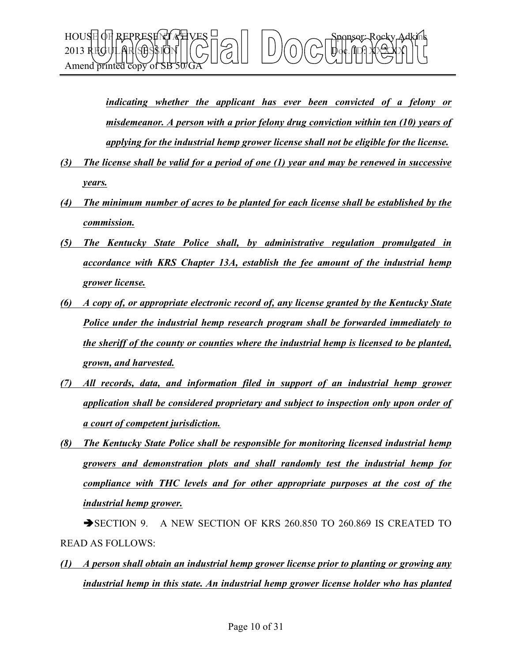

*indicating whether the applicant has ever been convicted of a felony or misdemeanor. A person with a prior felony drug conviction within ten (10) years of applying for the industrial hemp grower license shall not be eligible for the license.*

- *(3) The license shall be valid for a period of one (1) year and may be renewed in successive years.*
- *(4) The minimum number of acres to be planted for each license shall be established by the commission.*
- *(5) The Kentucky State Police shall, by administrative regulation promulgated in accordance with KRS Chapter 13A, establish the fee amount of the industrial hemp grower license.*
- *(6) A copy of, or appropriate electronic record of, any license granted by the Kentucky State Police under the industrial hemp research program shall be forwarded immediately to the sheriff of the county or counties where the industrial hemp is licensed to be planted, grown, and harvested.*
- *(7) All records, data, and information filed in support of an industrial hemp grower application shall be considered proprietary and subject to inspection only upon order of a court of competent jurisdiction.*
- *(8) The Kentucky State Police shall be responsible for monitoring licensed industrial hemp growers and demonstration plots and shall randomly test the industrial hemp for compliance with THC levels and for other appropriate purposes at the cost of the industrial hemp grower.*

SECTION 9. A NEW SECTION OF KRS 260.850 TO 260.869 IS CREATED TO READ AS FOLLOWS:

*(1) A person shall obtain an industrial hemp grower license prior to planting or growing any industrial hemp in this state. An industrial hemp grower license holder who has planted*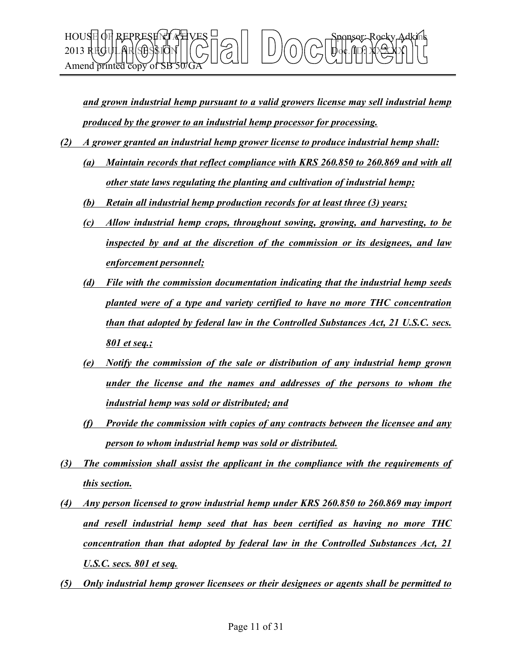

*and grown industrial hemp pursuant to a valid growers license may sell industrial hemp produced by the grower to an industrial hemp processor for processing.*

- *(2) A grower granted an industrial hemp grower license to produce industrial hemp shall:*
	- *(a) Maintain records that reflect compliance with KRS 260.850 to 260.869 and with all other state laws regulating the planting and cultivation of industrial hemp;*
	- *(b) Retain all industrial hemp production records for at least three (3) years;*
	- *(c) Allow industrial hemp crops, throughout sowing, growing, and harvesting, to be inspected by and at the discretion of the commission or its designees, and law enforcement personnel;*
	- *(d) File with the commission documentation indicating that the industrial hemp seeds planted were of a type and variety certified to have no more THC concentration than that adopted by federal law in the Controlled Substances Act, 21 U.S.C. secs. 801 et seq.;*
	- *(e) Notify the commission of the sale or distribution of any industrial hemp grown under the license and the names and addresses of the persons to whom the industrial hemp was sold or distributed; and*
	- *(f) Provide the commission with copies of any contracts between the licensee and any person to whom industrial hemp was sold or distributed.*
- *(3) The commission shall assist the applicant in the compliance with the requirements of this section.*
- *(4) Any person licensed to grow industrial hemp under KRS 260.850 to 260.869 may import and resell industrial hemp seed that has been certified as having no more THC concentration than that adopted by federal law in the Controlled Substances Act, 21 U.S.C. secs. 801 et seq.*
- *(5) Only industrial hemp grower licensees or their designees or agents shall be permitted to*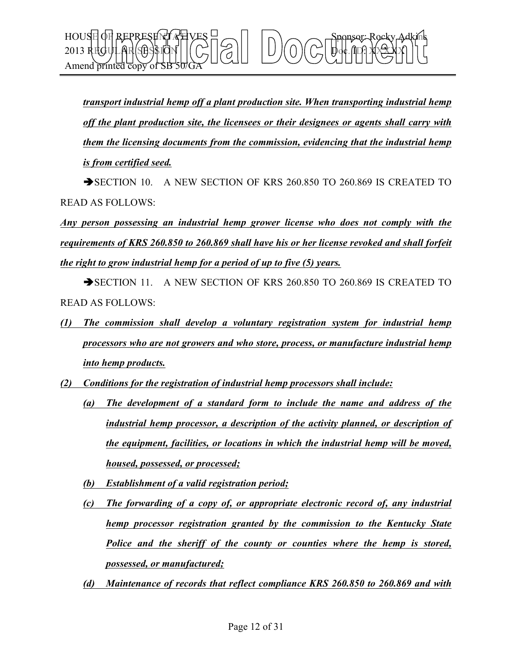*transport industrial hemp off a plant production site. When transporting industrial hemp off the plant production site, the licensees or their designees or agents shall carry with them the licensing documents from the commission, evidencing that the industrial hemp is from certified seed.*

HOUSE OF REPRESENT AT VES  $\exists \frown \Box \Box$   $\land \frown \frown$  Sponsor: Rocky Adkins

2013 REGULAR SESSION Doc. ID: XXXXX

Amend printed co

SECTION 10. A NEW SECTION OF KRS 260.850 TO 260.869 IS CREATED TO READ AS FOLLOWS:

*Any person possessing an industrial hemp grower license who does not comply with the requirements of KRS 260.850 to 260.869 shall have his or her license revoked and shall forfeit the right to grow industrial hemp for a period of up to five (5) years.*

SECTION 11. A NEW SECTION OF KRS 260.850 TO 260.869 IS CREATED TO READ AS FOLLOWS:

- *(1) The commission shall develop a voluntary registration system for industrial hemp processors who are not growers and who store, process, or manufacture industrial hemp into hemp products.*
- *(2) Conditions for the registration of industrial hemp processors shall include:*
	- *(a) The development of a standard form to include the name and address of the industrial hemp processor, a description of the activity planned, or description of the equipment, facilities, or locations in which the industrial hemp will be moved, housed, possessed, or processed;*
	- *(b) Establishment of a valid registration period;*
	- *(c) The forwarding of a copy of, or appropriate electronic record of, any industrial hemp processor registration granted by the commission to the Kentucky State Police and the sheriff of the county or counties where the hemp is stored, possessed, or manufactured;*
	- *(d) Maintenance of records that reflect compliance KRS 260.850 to 260.869 and with*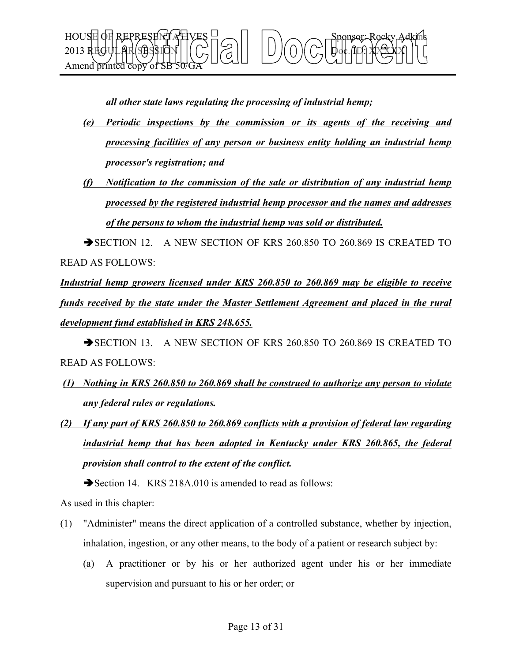

*all other state laws regulating the processing of industrial hemp;*

- *(e) Periodic inspections by the commission or its agents of the receiving and processing facilities of any person or business entity holding an industrial hemp processor's registration; and*
- *(f) Notification to the commission of the sale or distribution of any industrial hemp processed by the registered industrial hemp processor and the names and addresses of the persons to whom the industrial hemp was sold or distributed.*

SECTION 12. A NEW SECTION OF KRS 260.850 TO 260.869 IS CREATED TO READ AS FOLLOWS:

*Industrial hemp growers licensed under KRS 260.850 to 260.869 may be eligible to receive funds received by the state under the Master Settlement Agreement and placed in the rural development fund established in KRS 248.655.*

SECTION 13. A NEW SECTION OF KRS 260.850 TO 260.869 IS CREATED TO READ AS FOLLOWS:

- *(1) Nothing in KRS 260.850 to 260.869 shall be construed to authorize any person to violate any federal rules or regulations.*
- *(2) If any part of KRS 260.850 to 260.869 conflicts with a provision of federal law regarding industrial hemp that has been adopted in Kentucky under KRS 260.865, the federal provision shall control to the extent of the conflict.*

Section 14. KRS 218A.010 is amended to read as follows:

As used in this chapter:

- (1) "Administer" means the direct application of a controlled substance, whether by injection, inhalation, ingestion, or any other means, to the body of a patient or research subject by:
	- (a) A practitioner or by his or her authorized agent under his or her immediate supervision and pursuant to his or her order; or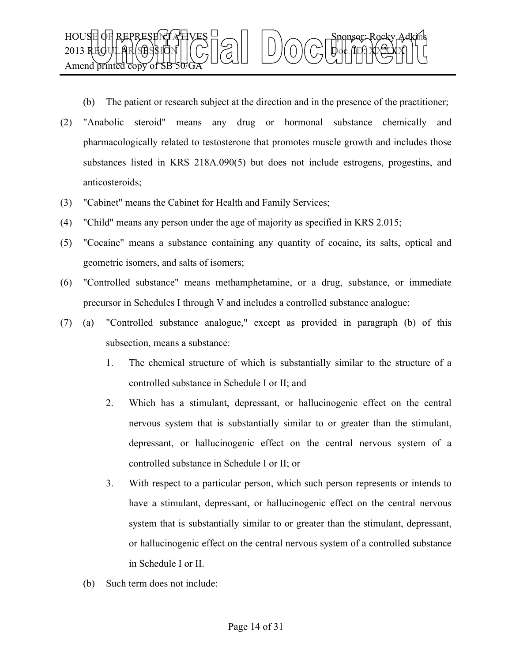

(b) The patient or research subject at the direction and in the presence of the practitioner;

- (2) "Anabolic steroid" means any drug or hormonal substance chemically and pharmacologically related to testosterone that promotes muscle growth and includes those substances listed in KRS 218A.090(5) but does not include estrogens, progestins, and anticosteroids;
- (3) "Cabinet" means the Cabinet for Health and Family Services;
- (4) "Child" means any person under the age of majority as specified in KRS 2.015;
- (5) "Cocaine" means a substance containing any quantity of cocaine, its salts, optical and geometric isomers, and salts of isomers;
- (6) "Controlled substance" means methamphetamine, or a drug, substance, or immediate precursor in Schedules I through V and includes a controlled substance analogue;
- (7) (a) "Controlled substance analogue," except as provided in paragraph (b) of this subsection, means a substance:
	- 1. The chemical structure of which is substantially similar to the structure of a controlled substance in Schedule I or II; and
	- 2. Which has a stimulant, depressant, or hallucinogenic effect on the central nervous system that is substantially similar to or greater than the stimulant, depressant, or hallucinogenic effect on the central nervous system of a controlled substance in Schedule I or II; or
	- 3. With respect to a particular person, which such person represents or intends to have a stimulant, depressant, or hallucinogenic effect on the central nervous system that is substantially similar to or greater than the stimulant, depressant, or hallucinogenic effect on the central nervous system of a controlled substance in Schedule I or II.
	- (b) Such term does not include: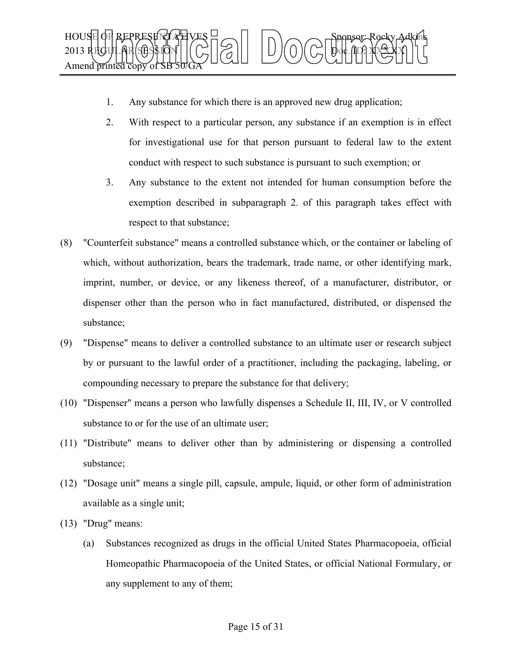

- 1. Any substance for which there is an approved new drug application;
- 2. With respect to a particular person, any substance if an exemption is in effect for investigational use for that person pursuant to federal law to the extent conduct with respect to such substance is pursuant to such exemption; or
- 3. Any substance to the extent not intended for human consumption before the exemption described in subparagraph 2. of this paragraph takes effect with respect to that substance;
- (8) "Counterfeit substance" means a controlled substance which, or the container or labeling of which, without authorization, bears the trademark, trade name, or other identifying mark, imprint, number, or device, or any likeness thereof, of a manufacturer, distributor, or dispenser other than the person who in fact manufactured, distributed, or dispensed the substance;
- (9) "Dispense" means to deliver a controlled substance to an ultimate user or research subject by or pursuant to the lawful order of a practitioner, including the packaging, labeling, or compounding necessary to prepare the substance for that delivery;
- (10) "Dispenser" means a person who lawfully dispenses a Schedule II, III, IV, or V controlled substance to or for the use of an ultimate user;
- (11) "Distribute" means to deliver other than by administering or dispensing a controlled substance;
- (12) "Dosage unit" means a single pill, capsule, ampule, liquid, or other form of administration available as a single unit;
- (13) "Drug" means:
	- (a) Substances recognized as drugs in the official United States Pharmacopoeia, official Homeopathic Pharmacopoeia of the United States, or official National Formulary, or any supplement to any of them;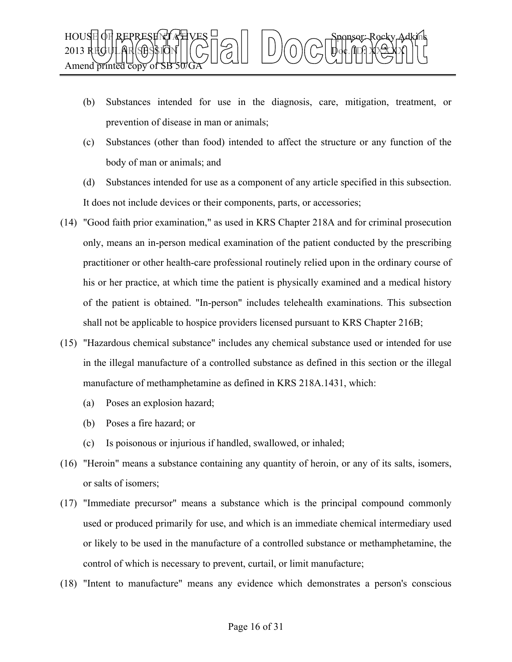

- (b) Substances intended for use in the diagnosis, care, mitigation, treatment, or prevention of disease in man or animals;
- (c) Substances (other than food) intended to affect the structure or any function of the body of man or animals; and
- (d) Substances intended for use as a component of any article specified in this subsection. It does not include devices or their components, parts, or accessories;
- (14) "Good faith prior examination," as used in KRS Chapter 218A and for criminal prosecution only, means an in-person medical examination of the patient conducted by the prescribing practitioner or other health-care professional routinely relied upon in the ordinary course of his or her practice, at which time the patient is physically examined and a medical history of the patient is obtained. "In-person" includes telehealth examinations. This subsection shall not be applicable to hospice providers licensed pursuant to KRS Chapter 216B;
- (15) "Hazardous chemical substance" includes any chemical substance used or intended for use in the illegal manufacture of a controlled substance as defined in this section or the illegal manufacture of methamphetamine as defined in KRS 218A.1431, which:
	- (a) Poses an explosion hazard;
	- (b) Poses a fire hazard; or
	- (c) Is poisonous or injurious if handled, swallowed, or inhaled;
- (16) "Heroin" means a substance containing any quantity of heroin, or any of its salts, isomers, or salts of isomers;
- (17) "Immediate precursor" means a substance which is the principal compound commonly used or produced primarily for use, and which is an immediate chemical intermediary used or likely to be used in the manufacture of a controlled substance or methamphetamine, the control of which is necessary to prevent, curtail, or limit manufacture;
- (18) "Intent to manufacture" means any evidence which demonstrates a person's conscious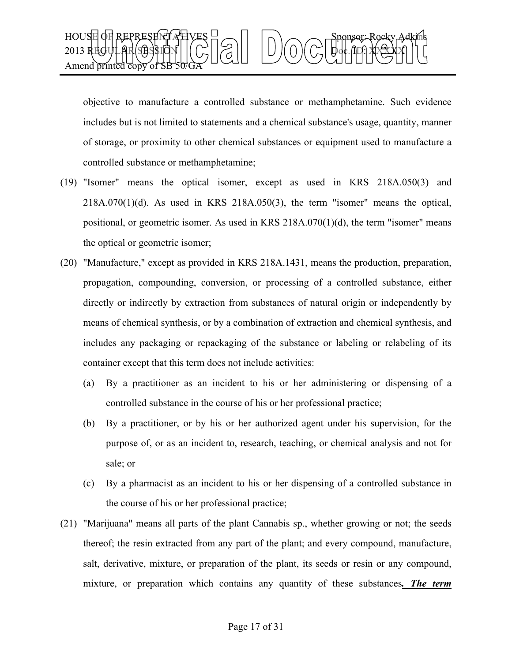

objective to manufacture a controlled substance or methamphetamine. Such evidence includes but is not limited to statements and a chemical substance's usage, quantity, manner of storage, or proximity to other chemical substances or equipment used to manufacture a controlled substance or methamphetamine;

- (19) "Isomer" means the optical isomer, except as used in KRS 218A.050(3) and  $218A.070(1)(d)$ . As used in KRS  $218A.050(3)$ , the term "isomer" means the optical, positional, or geometric isomer. As used in KRS  $218A.070(1)(d)$ , the term "isomer" means the optical or geometric isomer;
- (20) "Manufacture," except as provided in KRS 218A.1431, means the production, preparation, propagation, compounding, conversion, or processing of a controlled substance, either directly or indirectly by extraction from substances of natural origin or independently by means of chemical synthesis, or by a combination of extraction and chemical synthesis, and includes any packaging or repackaging of the substance or labeling or relabeling of its container except that this term does not include activities:
	- (a) By a practitioner as an incident to his or her administering or dispensing of a controlled substance in the course of his or her professional practice;
	- (b) By a practitioner, or by his or her authorized agent under his supervision, for the purpose of, or as an incident to, research, teaching, or chemical analysis and not for sale; or
	- (c) By a pharmacist as an incident to his or her dispensing of a controlled substance in the course of his or her professional practice;
- (21) "Marijuana" means all parts of the plant Cannabis sp., whether growing or not; the seeds thereof; the resin extracted from any part of the plant; and every compound, manufacture, salt, derivative, mixture, or preparation of the plant, its seeds or resin or any compound, mixture, or preparation which contains any quantity of these substances*. The term*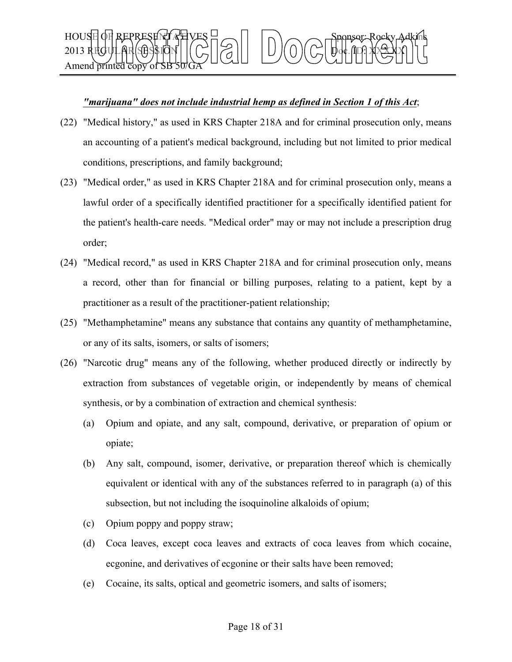## HOUSE OF REPRESENT AT VES  $\exists \frown \Box \Box$   $\land \frown \frown$  Sponsor: Rocky Adkins 2013 REGULAR SESSION Doc. ID: XXXXX Amend printed cop

## *"marijuana" does not include industrial hemp as defined in Section 1 of this Act*;

- (22) "Medical history," as used in KRS Chapter 218A and for criminal prosecution only, means an accounting of a patient's medical background, including but not limited to prior medical conditions, prescriptions, and family background;
- (23) "Medical order," as used in KRS Chapter 218A and for criminal prosecution only, means a lawful order of a specifically identified practitioner for a specifically identified patient for the patient's health-care needs. "Medical order" may or may not include a prescription drug order;
- (24) "Medical record," as used in KRS Chapter 218A and for criminal prosecution only, means a record, other than for financial or billing purposes, relating to a patient, kept by a practitioner as a result of the practitioner-patient relationship;
- (25) "Methamphetamine" means any substance that contains any quantity of methamphetamine, or any of its salts, isomers, or salts of isomers;
- (26) "Narcotic drug" means any of the following, whether produced directly or indirectly by extraction from substances of vegetable origin, or independently by means of chemical synthesis, or by a combination of extraction and chemical synthesis:
	- (a) Opium and opiate, and any salt, compound, derivative, or preparation of opium or opiate;
	- (b) Any salt, compound, isomer, derivative, or preparation thereof which is chemically equivalent or identical with any of the substances referred to in paragraph (a) of this subsection, but not including the isoquinoline alkaloids of opium;
	- (c) Opium poppy and poppy straw;
	- (d) Coca leaves, except coca leaves and extracts of coca leaves from which cocaine, ecgonine, and derivatives of ecgonine or their salts have been removed;
	- (e) Cocaine, its salts, optical and geometric isomers, and salts of isomers;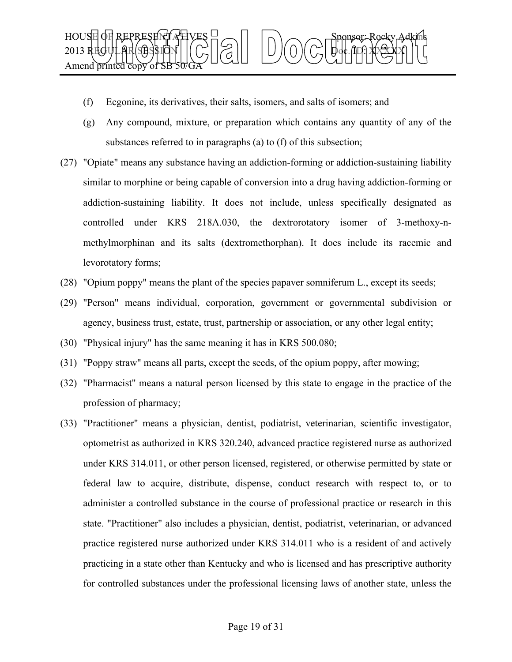

- (f) Ecgonine, its derivatives, their salts, isomers, and salts of isomers; and
- (g) Any compound, mixture, or preparation which contains any quantity of any of the substances referred to in paragraphs (a) to (f) of this subsection;
- (27) "Opiate" means any substance having an addiction-forming or addiction-sustaining liability similar to morphine or being capable of conversion into a drug having addiction-forming or addiction-sustaining liability. It does not include, unless specifically designated as controlled under KRS 218A.030, the dextrorotatory isomer of 3-methoxy-nmethylmorphinan and its salts (dextromethorphan). It does include its racemic and levorotatory forms;
- (28) "Opium poppy" means the plant of the species papaver somniferum L., except its seeds;
- (29) "Person" means individual, corporation, government or governmental subdivision or agency, business trust, estate, trust, partnership or association, or any other legal entity;
- (30) "Physical injury" has the same meaning it has in KRS 500.080;
- (31) "Poppy straw" means all parts, except the seeds, of the opium poppy, after mowing;
- (32) "Pharmacist" means a natural person licensed by this state to engage in the practice of the profession of pharmacy;
- (33) "Practitioner" means a physician, dentist, podiatrist, veterinarian, scientific investigator, optometrist as authorized in KRS 320.240, advanced practice registered nurse as authorized under KRS 314.011, or other person licensed, registered, or otherwise permitted by state or federal law to acquire, distribute, dispense, conduct research with respect to, or to administer a controlled substance in the course of professional practice or research in this state. "Practitioner" also includes a physician, dentist, podiatrist, veterinarian, or advanced practice registered nurse authorized under KRS 314.011 who is a resident of and actively practicing in a state other than Kentucky and who is licensed and has prescriptive authority for controlled substances under the professional licensing laws of another state, unless the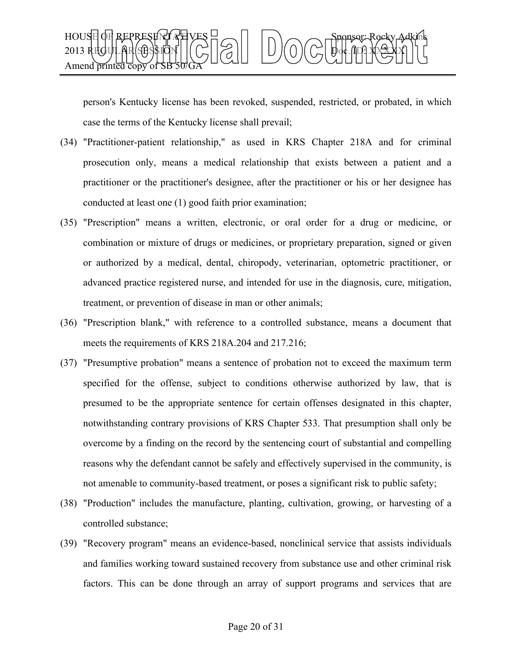

person's Kentucky license has been revoked, suspended, restricted, or probated, in which case the terms of the Kentucky license shall prevail;

- (34) "Practitioner-patient relationship," as used in KRS Chapter 218A and for criminal prosecution only, means a medical relationship that exists between a patient and a practitioner or the practitioner's designee, after the practitioner or his or her designee has conducted at least one (1) good faith prior examination;
- (35) "Prescription" means a written, electronic, or oral order for a drug or medicine, or combination or mixture of drugs or medicines, or proprietary preparation, signed or given or authorized by a medical, dental, chiropody, veterinarian, optometric practitioner, or advanced practice registered nurse, and intended for use in the diagnosis, cure, mitigation, treatment, or prevention of disease in man or other animals;
- (36) "Prescription blank," with reference to a controlled substance, means a document that meets the requirements of KRS 218A.204 and 217.216;
- (37) "Presumptive probation" means a sentence of probation not to exceed the maximum term specified for the offense, subject to conditions otherwise authorized by law, that is presumed to be the appropriate sentence for certain offenses designated in this chapter, notwithstanding contrary provisions of KRS Chapter 533. That presumption shall only be overcome by a finding on the record by the sentencing court of substantial and compelling reasons why the defendant cannot be safely and effectively supervised in the community, is not amenable to community-based treatment, or poses a significant risk to public safety;
- (38) "Production" includes the manufacture, planting, cultivation, growing, or harvesting of a controlled substance;
- (39) "Recovery program" means an evidence-based, nonclinical service that assists individuals and families working toward sustained recovery from substance use and other criminal risk factors. This can be done through an array of support programs and services that are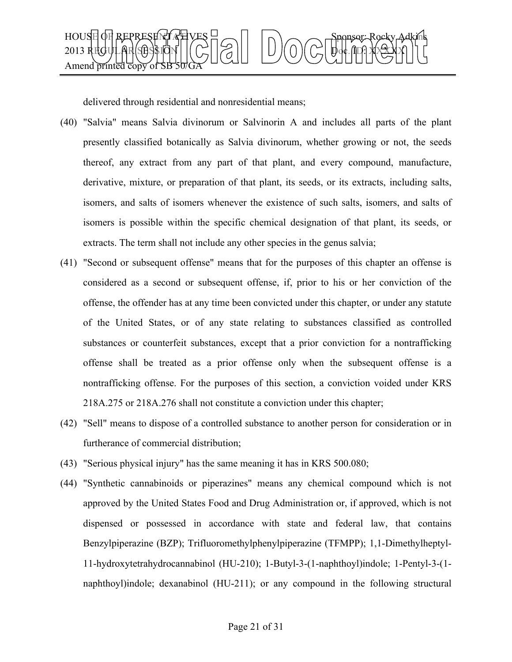

delivered through residential and nonresidential means;

- (40) "Salvia" means Salvia divinorum or Salvinorin A and includes all parts of the plant presently classified botanically as Salvia divinorum, whether growing or not, the seeds thereof, any extract from any part of that plant, and every compound, manufacture, derivative, mixture, or preparation of that plant, its seeds, or its extracts, including salts, isomers, and salts of isomers whenever the existence of such salts, isomers, and salts of isomers is possible within the specific chemical designation of that plant, its seeds, or extracts. The term shall not include any other species in the genus salvia;
- (41) "Second or subsequent offense" means that for the purposes of this chapter an offense is considered as a second or subsequent offense, if, prior to his or her conviction of the offense, the offender has at any time been convicted under this chapter, or under any statute of the United States, or of any state relating to substances classified as controlled substances or counterfeit substances, except that a prior conviction for a nontrafficking offense shall be treated as a prior offense only when the subsequent offense is a nontrafficking offense. For the purposes of this section, a conviction voided under KRS 218A.275 or 218A.276 shall not constitute a conviction under this chapter;
- (42) "Sell" means to dispose of a controlled substance to another person for consideration or in furtherance of commercial distribution;
- (43) "Serious physical injury" has the same meaning it has in KRS 500.080;
- (44) "Synthetic cannabinoids or piperazines" means any chemical compound which is not approved by the United States Food and Drug Administration or, if approved, which is not dispensed or possessed in accordance with state and federal law, that contains Benzylpiperazine (BZP); Trifluoromethylphenylpiperazine (TFMPP); 1,1-Dimethylheptyl-11-hydroxytetrahydrocannabinol (HU-210); 1-Butyl-3-(1-naphthoyl)indole; 1-Pentyl-3-(1 naphthoyl)indole; dexanabinol (HU-211); or any compound in the following structural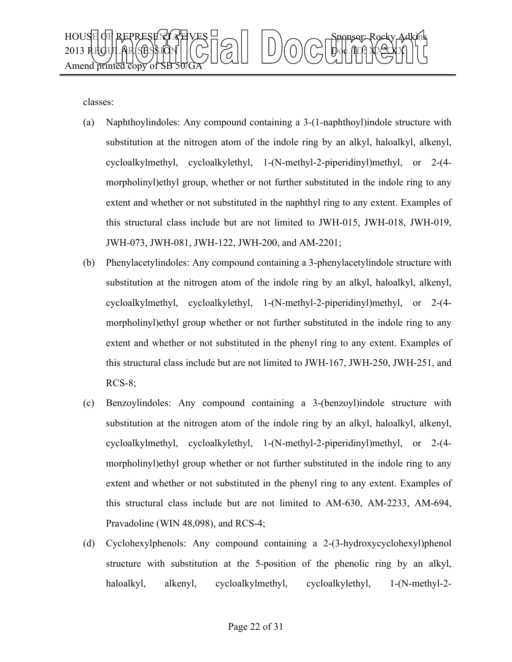

classes:

- (a) Naphthoylindoles: Any compound containing a 3-(1-naphthoyl)indole structure with substitution at the nitrogen atom of the indole ring by an alkyl, haloalkyl, alkenyl, cycloalkylmethyl, cycloalkylethyl, 1-(N-methyl-2-piperidinyl)methyl, or 2-(4 morpholinyl)ethyl group, whether or not further substituted in the indole ring to any extent and whether or not substituted in the naphthyl ring to any extent. Examples of this structural class include but are not limited to JWH-015, JWH-018, JWH-019, JWH-073, JWH-081, JWH-122, JWH-200, and AM-2201;
- (b) Phenylacetylindoles: Any compound containing a 3-phenylacetylindole structure with substitution at the nitrogen atom of the indole ring by an alkyl, haloalkyl, alkenyl, cycloalkylmethyl, cycloalkylethyl, 1-(N-methyl-2-piperidinyl)methyl, or 2-(4 morpholinyl)ethyl group whether or not further substituted in the indole ring to any extent and whether or not substituted in the phenyl ring to any extent. Examples of this structural class include but are not limited to JWH-167, JWH-250, JWH-251, and  $RCS-8$ ;
- (c) Benzoylindoles: Any compound containing a 3-(benzoyl)indole structure with substitution at the nitrogen atom of the indole ring by an alkyl, haloalkyl, alkenyl, cycloalkylmethyl, cycloalkylethyl, 1-(N-methyl-2-piperidinyl)methyl, or 2-(4 morpholinyl)ethyl group whether or not further substituted in the indole ring to any extent and whether or not substituted in the phenyl ring to any extent. Examples of this structural class include but are not limited to AM-630, AM-2233, AM-694, Pravadoline (WIN 48,098), and RCS-4;
- (d) Cyclohexylphenols: Any compound containing a 2-(3-hydroxycyclohexyl)phenol structure with substitution at the 5-position of the phenolic ring by an alkyl, haloalkyl, alkenyl, cycloalkylmethyl, cycloalkylethyl, 1-(N-methyl-2-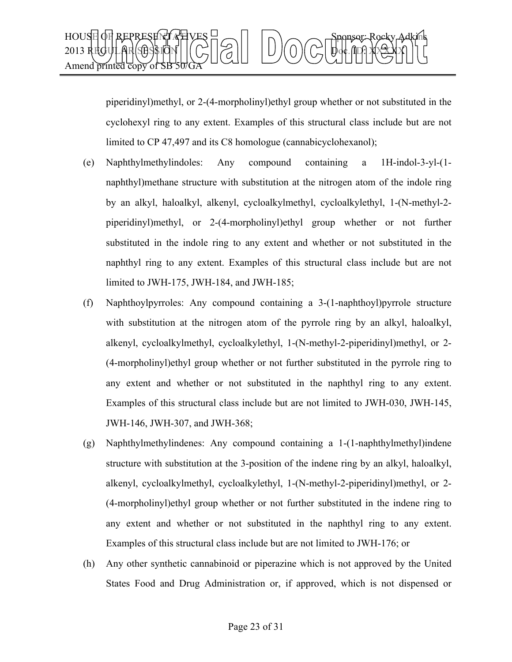

piperidinyl)methyl, or 2-(4-morpholinyl)ethyl group whether or not substituted in the cyclohexyl ring to any extent. Examples of this structural class include but are not limited to CP 47,497 and its C8 homologue (cannabicyclohexanol);

- (e) Naphthylmethylindoles: Any compound containing a 1H-indol-3-yl-(1 naphthyl)methane structure with substitution at the nitrogen atom of the indole ring by an alkyl, haloalkyl, alkenyl, cycloalkylmethyl, cycloalkylethyl, 1-(N-methyl-2 piperidinyl)methyl, or 2-(4-morpholinyl)ethyl group whether or not further substituted in the indole ring to any extent and whether or not substituted in the naphthyl ring to any extent. Examples of this structural class include but are not limited to JWH-175, JWH-184, and JWH-185;
- (f) Naphthoylpyrroles: Any compound containing a 3-(1-naphthoyl)pyrrole structure with substitution at the nitrogen atom of the pyrrole ring by an alkyl, haloalkyl, alkenyl, cycloalkylmethyl, cycloalkylethyl, 1-(N-methyl-2-piperidinyl)methyl, or 2- (4-morpholinyl)ethyl group whether or not further substituted in the pyrrole ring to any extent and whether or not substituted in the naphthyl ring to any extent. Examples of this structural class include but are not limited to JWH-030, JWH-145, JWH-146, JWH-307, and JWH-368;
- (g) Naphthylmethylindenes: Any compound containing a 1-(1-naphthylmethyl)indene structure with substitution at the 3-position of the indene ring by an alkyl, haloalkyl, alkenyl, cycloalkylmethyl, cycloalkylethyl, 1-(N-methyl-2-piperidinyl)methyl, or 2- (4-morpholinyl)ethyl group whether or not further substituted in the indene ring to any extent and whether or not substituted in the naphthyl ring to any extent. Examples of this structural class include but are not limited to JWH-176; or
- (h) Any other synthetic cannabinoid or piperazine which is not approved by the United States Food and Drug Administration or, if approved, which is not dispensed or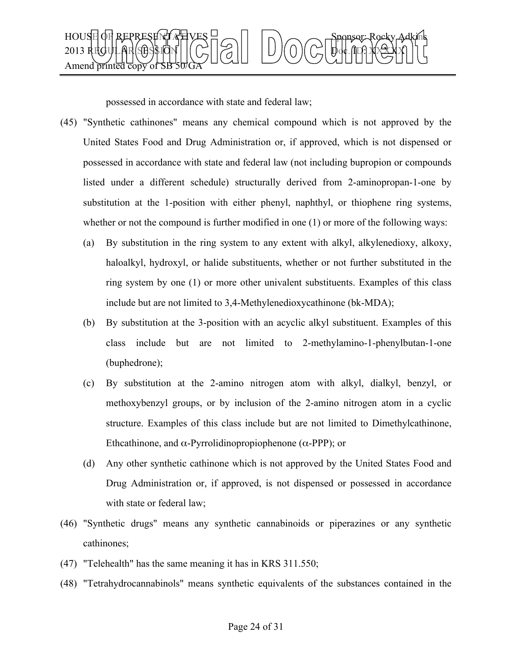

possessed in accordance with state and federal law;

- (45) "Synthetic cathinones" means any chemical compound which is not approved by the United States Food and Drug Administration or, if approved, which is not dispensed or possessed in accordance with state and federal law (not including bupropion or compounds listed under a different schedule) structurally derived from 2-aminopropan-1-one by substitution at the 1-position with either phenyl, naphthyl, or thiophene ring systems, whether or not the compound is further modified in one (1) or more of the following ways:
	- (a) By substitution in the ring system to any extent with alkyl, alkylenedioxy, alkoxy, haloalkyl, hydroxyl, or halide substituents, whether or not further substituted in the ring system by one (1) or more other univalent substituents. Examples of this class include but are not limited to 3,4-Methylenedioxycathinone (bk-MDA);
	- (b) By substitution at the 3-position with an acyclic alkyl substituent. Examples of this class include but are not limited to 2-methylamino-1-phenylbutan-1-one (buphedrone);
	- (c) By substitution at the 2-amino nitrogen atom with alkyl, dialkyl, benzyl, or methoxybenzyl groups, or by inclusion of the 2-amino nitrogen atom in a cyclic structure. Examples of this class include but are not limited to Dimethylcathinone, Ethcathinone, and  $\alpha$ -Pyrrolidinopropiophenone ( $\alpha$ -PPP); or
	- (d) Any other synthetic cathinone which is not approved by the United States Food and Drug Administration or, if approved, is not dispensed or possessed in accordance with state or federal law;
- (46) "Synthetic drugs" means any synthetic cannabinoids or piperazines or any synthetic cathinones;
- (47) "Telehealth" has the same meaning it has in KRS 311.550;
- (48) "Tetrahydrocannabinols" means synthetic equivalents of the substances contained in the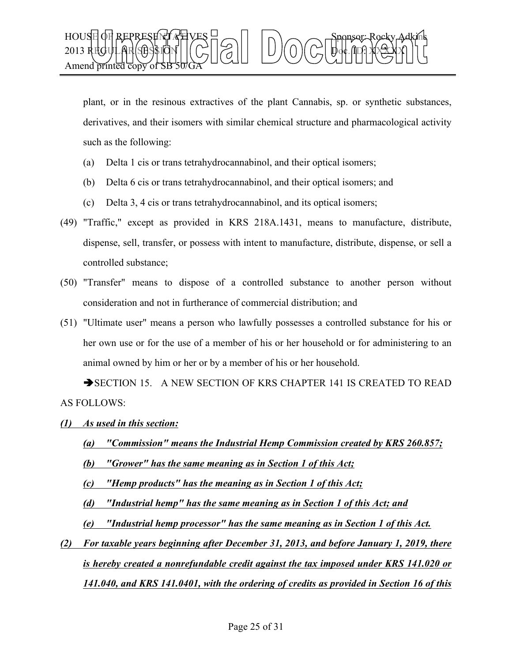

plant, or in the resinous extractives of the plant Cannabis, sp. or synthetic substances, derivatives, and their isomers with similar chemical structure and pharmacological activity such as the following:

- (a) Delta 1 cis or trans tetrahydrocannabinol, and their optical isomers;
- (b) Delta 6 cis or trans tetrahydrocannabinol, and their optical isomers; and
- (c) Delta 3, 4 cis or trans tetrahydrocannabinol, and its optical isomers;
- (49) "Traffic," except as provided in KRS 218A.1431, means to manufacture, distribute, dispense, sell, transfer, or possess with intent to manufacture, distribute, dispense, or sell a controlled substance;
- (50) "Transfer" means to dispose of a controlled substance to another person without consideration and not in furtherance of commercial distribution; and
- (51) "Ultimate user" means a person who lawfully possesses a controlled substance for his or her own use or for the use of a member of his or her household or for administering to an animal owned by him or her or by a member of his or her household.

SECTION 15. A NEW SECTION OF KRS CHAPTER 141 IS CREATED TO READ AS FOLLOWS:

- *(1) As used in this section:*
	- *(a) "Commission" means the Industrial Hemp Commission created by KRS 260.857; (b) "Grower" has the same meaning as in Section 1 of this Act;*

*(c) "Hemp products" has the meaning as in Section 1 of this Act;* 

*(d) "Industrial hemp" has the same meaning as in Section 1 of this Act; and*

- *(e) "Industrial hemp processor" has the same meaning as in Section 1 of this Act.*
- *(2) For taxable years beginning after December 31, 2013, and before January 1, 2019, there is hereby created a nonrefundable credit against the tax imposed under KRS 141.020 or 141.040, and KRS 141.0401, with the ordering of credits as provided in Section 16 of this*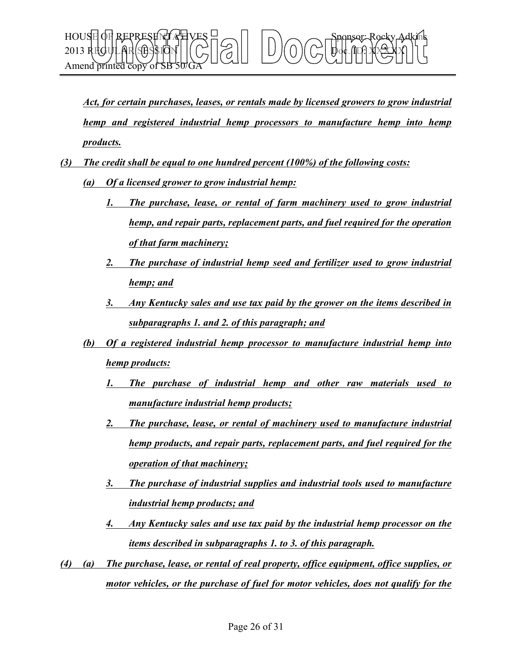

*Act, for certain purchases, leases, or rentals made by licensed growers to grow industrial hemp and registered industrial hemp processors to manufacture hemp into hemp products.* 

- *(3) The credit shall be equal to one hundred percent (100%) of the following costs:* 
	- *(a) Of a licensed grower to grow industrial hemp:*
		- *1. The purchase, lease, or rental of farm machinery used to grow industrial hemp, and repair parts, replacement parts, and fuel required for the operation of that farm machinery;*
		- *2. The purchase of industrial hemp seed and fertilizer used to grow industrial hemp; and*
		- *3. Any Kentucky sales and use tax paid by the grower on the items described in subparagraphs 1. and 2. of this paragraph; and*
	- *(b) Of a registered industrial hemp processor to manufacture industrial hemp into hemp products:*
		- *1. The purchase of industrial hemp and other raw materials used to manufacture industrial hemp products;*
		- *2. The purchase, lease, or rental of machinery used to manufacture industrial hemp products, and repair parts, replacement parts, and fuel required for the operation of that machinery;*
		- *3. The purchase of industrial supplies and industrial tools used to manufacture industrial hemp products; and*
		- *4. Any Kentucky sales and use tax paid by the industrial hemp processor on the items described in subparagraphs 1. to 3. of this paragraph.*
- *(4) (a) The purchase, lease, or rental of real property, office equipment, office supplies, or motor vehicles, or the purchase of fuel for motor vehicles, does not qualify for the*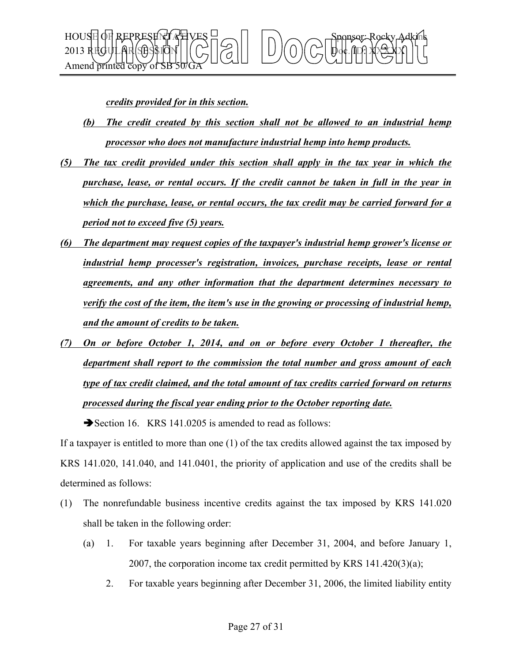

*credits provided for in this section.*

- *(b) The credit created by this section shall not be allowed to an industrial hemp processor who does not manufacture industrial hemp into hemp products.*
- *(5) The tax credit provided under this section shall apply in the tax year in which the purchase, lease, or rental occurs. If the credit cannot be taken in full in the year in which the purchase, lease, or rental occurs, the tax credit may be carried forward for a period not to exceed five (5) years.*
- *(6) The department may request copies of the taxpayer's industrial hemp grower's license or industrial hemp processer's registration, invoices, purchase receipts, lease or rental agreements, and any other information that the department determines necessary to verify the cost of the item, the item's use in the growing or processing of industrial hemp, and the amount of credits to be taken.*
- *(7) On or before October 1, 2014, and on or before every October 1 thereafter, the department shall report to the commission the total number and gross amount of each type of tax credit claimed, and the total amount of tax credits carried forward on returns processed during the fiscal year ending prior to the October reporting date.*

Section 16. KRS 141.0205 is amended to read as follows:

If a taxpayer is entitled to more than one (1) of the tax credits allowed against the tax imposed by KRS 141.020, 141.040, and 141.0401, the priority of application and use of the credits shall be determined as follows:

- (1) The nonrefundable business incentive credits against the tax imposed by KRS 141.020 shall be taken in the following order:
	- (a) 1. For taxable years beginning after December 31, 2004, and before January 1, 2007, the corporation income tax credit permitted by KRS  $141.420(3)(a)$ ;
		- 2. For taxable years beginning after December 31, 2006, the limited liability entity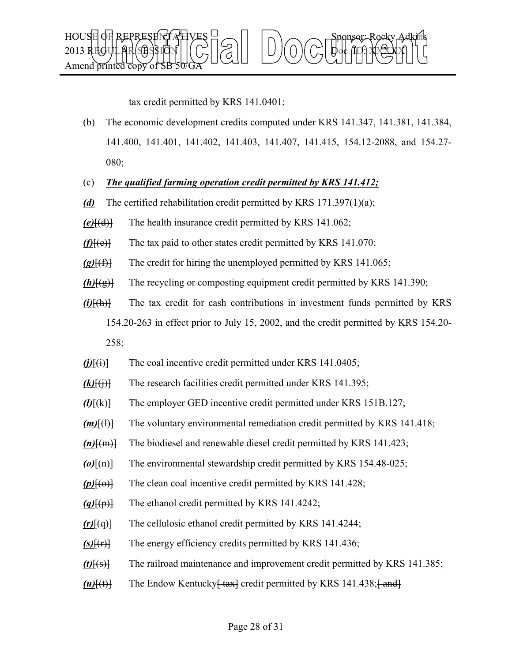

tax credit permitted by KRS 141.0401;

- (b) The economic development credits computed under KRS 141.347, 141.381, 141.384, 141.400, 141.401, 141.402, 141.403, 141.407, 141.415, 154.12-2088, and 154.27- 080;
- (c) *The qualified farming operation credit permitted by KRS 141.412;*
- *(d)* The certified rehabilitation credit permitted by KRS 171.397(1)(a);
- *(e)*[(d)] The health insurance credit permitted by KRS 141.062;
- $(f)[(e)]$  The tax paid to other states credit permitted by KRS 141.070;
- $(g)$ <sup>[(f)</sup>] The credit for hiring the unemployed permitted by KRS 141.065;
- *(h)*[(g)] The recycling or composting equipment credit permitted by KRS 141.390;
- *(i)*[(h)] The tax credit for cash contributions in investment funds permitted by KRS 154.20-263 in effect prior to July 15, 2002, and the credit permitted by KRS 154.20- 258;
- $(j)$  $\{i\}$  The coal incentive credit permitted under KRS 141.0405;
- $(k)$ <sup>[(i)]</sup> The research facilities credit permitted under KRS 141.395;
- *(l)*[(k)] The employer GED incentive credit permitted under KRS 151B.127;
- *(m)*[(l)] The voluntary environmental remediation credit permitted by KRS 141.418;
- *(n)*[(m)] The biodiesel and renewable diesel credit permitted by KRS 141.423;
- *(o)*[(n)] The environmental stewardship credit permitted by KRS 154.48-025;
- $(p)$  $[$ ( $\Theta$ ) $]$  The clean coal incentive credit permitted by KRS 141.428;
- *(q)*[(p)] The ethanol credit permitted by KRS 141.4242;
- *(r)*[(q)] The cellulosic ethanol credit permitted by KRS 141.4244;
- $(s)$  $\{f(r)\}$  The energy efficiency credits permitted by KRS 141.436;
- *(t)*[(s)] The railroad maintenance and improvement credit permitted by KRS 141.385;
- $(u)$ [(t)] The Endow Kentucky<del>[tax]</del> credit permitted by KRS 141.438;<del>[and]</del>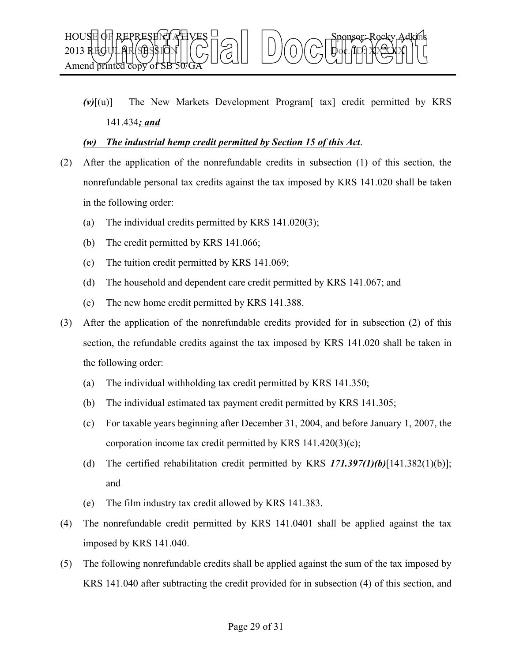

 $(v)$  $\{u\}$  The New Markets Development Program $\{+{ax}\}$  credit permitted by KRS 141.434*; and*

#### *(w) The industrial hemp credit permitted by Section 15 of this Act*.

- (2) After the application of the nonrefundable credits in subsection (1) of this section, the nonrefundable personal tax credits against the tax imposed by KRS 141.020 shall be taken in the following order:
	- (a) The individual credits permitted by KRS 141.020(3);
	- (b) The credit permitted by KRS 141.066;
	- (c) The tuition credit permitted by KRS 141.069;
	- (d) The household and dependent care credit permitted by KRS 141.067; and
	- (e) The new home credit permitted by KRS 141.388.
- (3) After the application of the nonrefundable credits provided for in subsection (2) of this section, the refundable credits against the tax imposed by KRS 141.020 shall be taken in the following order:
	- (a) The individual withholding tax credit permitted by KRS 141.350;
	- (b) The individual estimated tax payment credit permitted by KRS 141.305;
	- (c) For taxable years beginning after December 31, 2004, and before January 1, 2007, the corporation income tax credit permitted by KRS 141.420(3)(c);
	- (d) The certified rehabilitation credit permitted by KRS *171.397(1)(b)*[141.382(1)(b)]; and
	- (e) The film industry tax credit allowed by KRS 141.383.
- (4) The nonrefundable credit permitted by KRS 141.0401 shall be applied against the tax imposed by KRS 141.040.
- (5) The following nonrefundable credits shall be applied against the sum of the tax imposed by KRS 141.040 after subtracting the credit provided for in subsection (4) of this section, and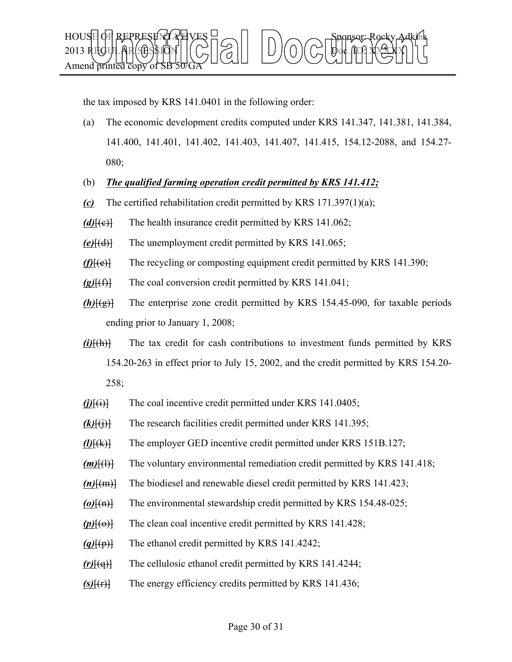

the tax imposed by KRS 141.0401 in the following order:

- (a) The economic development credits computed under KRS 141.347, 141.381, 141.384, 141.400, 141.401, 141.402, 141.403, 141.407, 141.415, 154.12-2088, and 154.27- 080;
- (b) *The qualified farming operation credit permitted by KRS 141.412;*
- *(c)* The certified rehabilitation credit permitted by KRS 171.397(1)(a);
- *(d)*[(e)] The health insurance credit permitted by KRS 141.062;
- *(e)*[(d)] The unemployment credit permitted by KRS 141.065;
- *(f)*[(e)] The recycling or composting equipment credit permitted by KRS 141.390;
- *(g)*[(f)] The coal conversion credit permitted by KRS 141.041;
- *(h)*[(g)] The enterprise zone credit permitted by KRS 154.45-090, for taxable periods ending prior to January 1, 2008;
- *(i)*[(h)] The tax credit for cash contributions to investment funds permitted by KRS 154.20-263 in effect prior to July 15, 2002, and the credit permitted by KRS 154.20- 258;
- $(j)$  $\{i\}$  The coal incentive credit permitted under KRS 141.0405;
- $(k)$ <sup>[(i)]</sup> The research facilities credit permitted under KRS 141.395;
- *(l)*[(k)] The employer GED incentive credit permitted under KRS 151B.127;
- *(m)*[(l)] The voluntary environmental remediation credit permitted by KRS 141.418;
- *(n)*[(m)] The biodiesel and renewable diesel credit permitted by KRS 141.423;
- *(o)*[(n)] The environmental stewardship credit permitted by KRS 154.48-025;
- *(p)*[(o)] The clean coal incentive credit permitted by KRS 141.428;
- *(q)*[(p)] The ethanol credit permitted by KRS 141.4242;
- *(r)*[(q)] The cellulosic ethanol credit permitted by KRS 141.4244;
- *(s)*[(r)] The energy efficiency credits permitted by KRS 141.436;